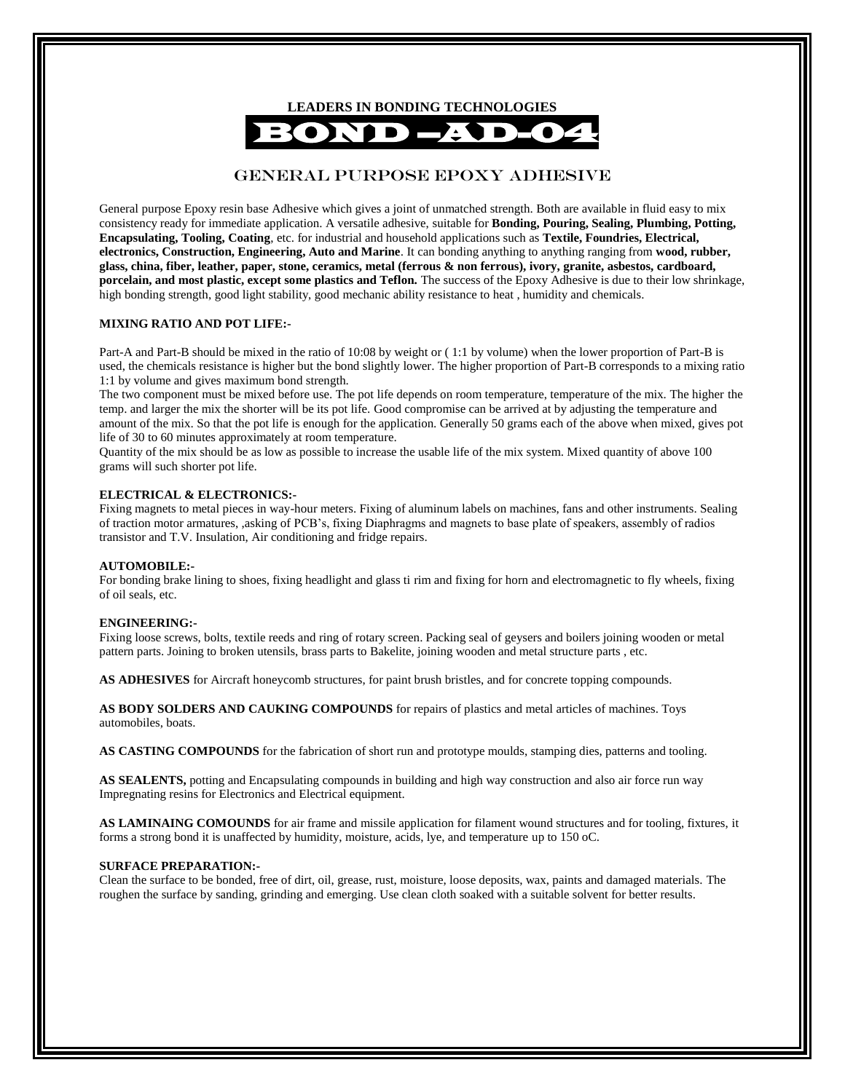

# GENERAL PURPOSE EPOXY ADHESIVE

General purpose Epoxy resin base Adhesive which gives a joint of unmatched strength. Both are available in fluid easy to mix consistency ready for immediate application. A versatile adhesive, suitable for **Bonding, Pouring, Sealing, Plumbing, Potting, Encapsulating, Tooling, Coating**, etc. for industrial and household applications such as **Textile, Foundries, Electrical, electronics, Construction, Engineering, Auto and Marine**. It can bonding anything to anything ranging from **wood, rubber, glass, china, fiber, leather, paper, stone, ceramics, metal (ferrous & non ferrous), ivory, granite, asbestos, cardboard, porcelain, and most plastic, except some plastics and Teflon.** The success of the Epoxy Adhesive is due to their low shrinkage, high bonding strength, good light stability, good mechanic ability resistance to heat , humidity and chemicals.

#### **MIXING RATIO AND POT LIFE:-**

Part-A and Part-B should be mixed in the ratio of 10:08 by weight or ( 1:1 by volume) when the lower proportion of Part-B is used, the chemicals resistance is higher but the bond slightly lower. The higher proportion of Part-B corresponds to a mixing ratio 1:1 by volume and gives maximum bond strength.

The two component must be mixed before use. The pot life depends on room temperature, temperature of the mix. The higher the temp. and larger the mix the shorter will be its pot life. Good compromise can be arrived at by adjusting the temperature and amount of the mix. So that the pot life is enough for the application. Generally 50 grams each of the above when mixed, gives pot life of 30 to 60 minutes approximately at room temperature.

Quantity of the mix should be as low as possible to increase the usable life of the mix system. Mixed quantity of above 100 grams will such shorter pot life.

#### **ELECTRICAL & ELECTRONICS:-**

Fixing magnets to metal pieces in way-hour meters. Fixing of aluminum labels on machines, fans and other instruments. Sealing of traction motor armatures, ,asking of PCB's, fixing Diaphragms and magnets to base plate of speakers, assembly of radios transistor and T.V. Insulation, Air conditioning and fridge repairs.

#### **AUTOMOBILE:-**

For bonding brake lining to shoes, fixing headlight and glass ti rim and fixing for horn and electromagnetic to fly wheels, fixing of oil seals, etc.

#### **ENGINEERING:-**

Fixing loose screws, bolts, textile reeds and ring of rotary screen. Packing seal of geysers and boilers joining wooden or metal pattern parts. Joining to broken utensils, brass parts to Bakelite, joining wooden and metal structure parts , etc.

**AS ADHESIVES** for Aircraft honeycomb structures, for paint brush bristles, and for concrete topping compounds.

**AS BODY SOLDERS AND CAUKING COMPOUNDS** for repairs of plastics and metal articles of machines. Toys automobiles, boats.

**AS CASTING COMPOUNDS** for the fabrication of short run and prototype moulds, stamping dies, patterns and tooling.

**AS SEALENTS,** potting and Encapsulating compounds in building and high way construction and also air force run way Impregnating resins for Electronics and Electrical equipment.

**AS LAMINAING COMOUNDS** for air frame and missile application for filament wound structures and for tooling, fixtures, it forms a strong bond it is unaffected by humidity, moisture, acids, lye, and temperature up to 150 oC.

#### **SURFACE PREPARATION:-**

Clean the surface to be bonded, free of dirt, oil, grease, rust, moisture, loose deposits, wax, paints and damaged materials. The roughen the surface by sanding, grinding and emerging. Use clean cloth soaked with a suitable solvent for better results.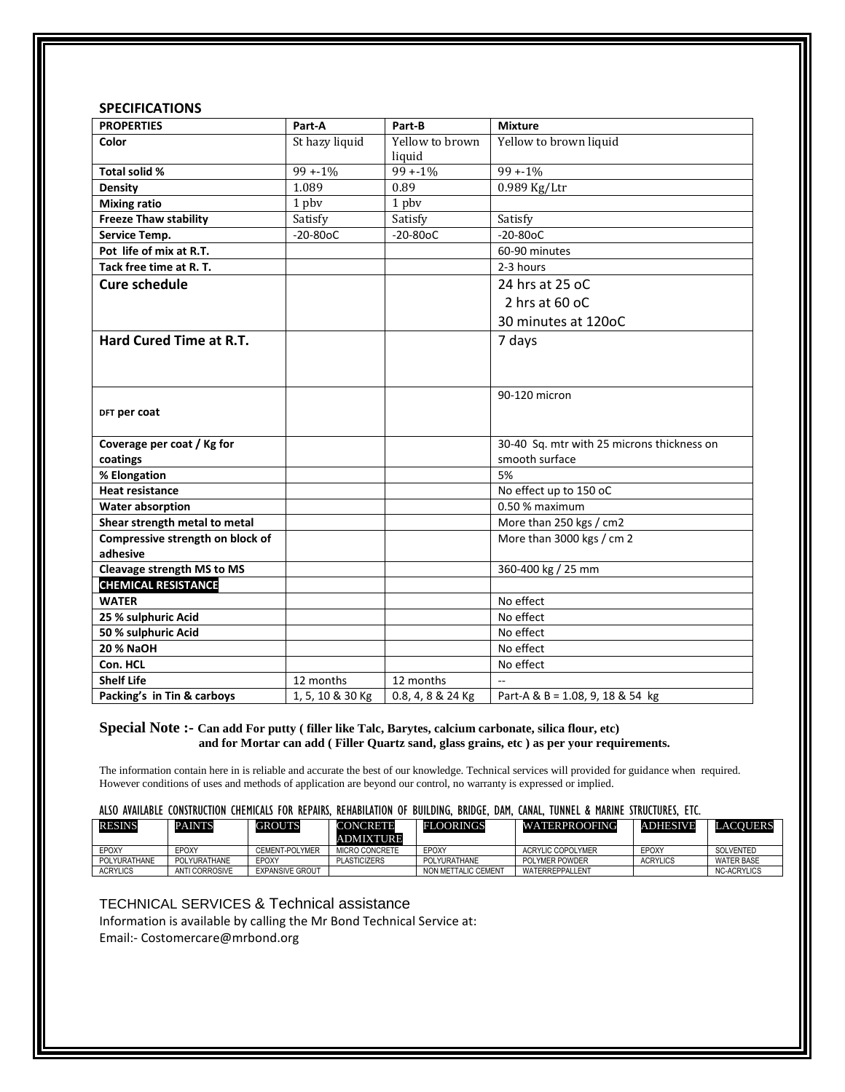# **SPECIFICATIONS**

| <b>PROPERTIES</b>                       | Part-A           | Part-B            | <b>Mixture</b>                             |  |  |
|-----------------------------------------|------------------|-------------------|--------------------------------------------|--|--|
| Color                                   | St hazy liquid   | Yellow to brown   | Yellow to brown liquid                     |  |  |
|                                         |                  | liquid            |                                            |  |  |
| Total solid %                           | $99 + 1\%$       | $99 + 1\%$        | $99 + 1\%$                                 |  |  |
| Density                                 | 1.089            | 0.89              | 0.989 Kg/Ltr                               |  |  |
| <b>Mixing ratio</b>                     | 1 pbv            | 1 pbv             |                                            |  |  |
| <b>Freeze Thaw stability</b>            | Satisfy          | Satisfy           | Satisfy                                    |  |  |
| Service Temp.                           | $-20-80$ oC      | $-20-80$ oC       | $-20 - 80$ oC                              |  |  |
| Pot life of mix at R.T.                 |                  |                   | 60-90 minutes                              |  |  |
| Tack free time at R. T.                 |                  |                   | 2-3 hours                                  |  |  |
| <b>Cure schedule</b>                    |                  |                   | 24 hrs at 25 oC                            |  |  |
|                                         |                  |                   | 2 hrs at $60$ oC                           |  |  |
|                                         |                  |                   | 30 minutes at 120oC                        |  |  |
| Hard Cured Time at R.T.                 |                  |                   | 7 days                                     |  |  |
|                                         |                  |                   |                                            |  |  |
|                                         |                  |                   |                                            |  |  |
|                                         |                  |                   | 90-120 micron                              |  |  |
| DFT per coat                            |                  |                   |                                            |  |  |
|                                         |                  |                   |                                            |  |  |
| Coverage per coat / Kg for              |                  |                   | 30-40 Sq. mtr with 25 microns thickness on |  |  |
| coatings                                |                  |                   | smooth surface                             |  |  |
| % Elongation                            |                  |                   | 5%                                         |  |  |
| <b>Heat resistance</b>                  |                  |                   | No effect up to 150 oC                     |  |  |
| <b>Water absorption</b>                 |                  |                   | 0.50 % maximum                             |  |  |
| Shear strength metal to metal           |                  |                   | More than 250 kgs / cm2                    |  |  |
| Compressive strength on block of        |                  |                   | More than 3000 kgs / cm 2                  |  |  |
| adhesive                                |                  |                   |                                            |  |  |
| Cleavage strength MS to MS              |                  |                   | 360-400 kg / 25 mm                         |  |  |
| <b>CHEMICAL RESISTANCE</b>              |                  |                   | No effect                                  |  |  |
| <b>WATER</b>                            |                  |                   | No effect                                  |  |  |
| 25 % sulphuric Acid                     |                  |                   |                                            |  |  |
| 50 % sulphuric Acid<br><b>20 % NaOH</b> |                  |                   | No effect<br>No effect                     |  |  |
|                                         |                  |                   |                                            |  |  |
| Con. HCL                                |                  |                   | No effect                                  |  |  |
| <b>Shelf Life</b>                       | 12 months        | 12 months         |                                            |  |  |
| Packing's in Tin & carboys              | 1, 5, 10 & 30 Kg | 0.8, 4, 8 & 24 Kg | Part-A & B = 1.08, 9, 18 & 54 kg           |  |  |

## **Special Note :- Can add For putty ( filler like Talc, Barytes, calcium carbonate, silica flour, etc) and for Mortar can add ( Filler Quartz sand, glass grains, etc ) as per your requirements.**

The information contain here in is reliable and accurate the best of our knowledge. Technical services will provided for guidance when required. However conditions of uses and methods of application are beyond our control, no warranty is expressed or implied.

#### ALSO AVAILABLE CONSTRUCTION CHEMICALS FOR REPAIRS, REHABILATION OF BUILDING, BRIDGE, DAM, CANAL, TUNNEL & MARINE STRUCTURES, ETC.

|                 | <b>PAINTS</b>         | <b>GROUTS</b>          | <b>CONCRETE</b><br><b>ADMIXTURE</b> | <b>FLOORINGS</b>    | <b>WATERPROOFING</b>     | <b>ADHESIVE</b> | <b>LACOUERS</b>    |
|-----------------|-----------------------|------------------------|-------------------------------------|---------------------|--------------------------|-----------------|--------------------|
| EPOXY<br>EPOXY  |                       | CEMENT-POLYMER         | MICRO CONCRETE                      | EPOXY               | <b>ACRYLIC COPOLYMER</b> | EPOXY           | SOLVENTED          |
| POLYURATHANE    | POLYURATHANE<br>EPOXY |                        | <b>PLASTICIZERS</b>                 | POLYURATHANE        | POLYMER POWDER           | <b>ACRYLICS</b> | <b>WATER BASE</b>  |
| <b>ACRYLICS</b> | ANTI CORROSIVE        | <b>EXPANSIVE GROUT</b> |                                     | NON METTALIC CEMENT | WATERREPPALLENT          |                 | <b>NC-ACRYLICS</b> |
|                 |                       |                        |                                     |                     |                          |                 |                    |

### TECHNICAL SERVICES & Technical assistance

Information is available by calling the Mr Bond Technical Service at: Email:- Costomercare@mrbond.org